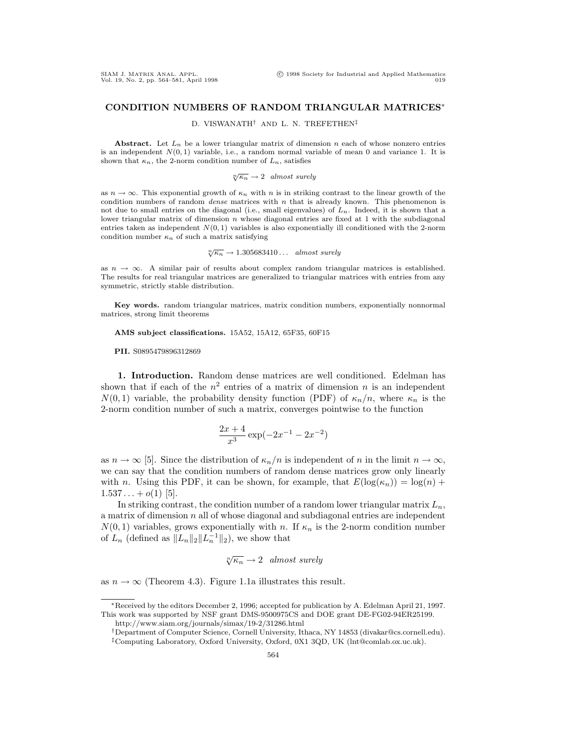## **CONDITION NUMBERS OF RANDOM TRIANGULAR MATRICES**<sup>∗</sup>

D. VISWANATH† AND L. N. TREFETHEN‡

**Abstract.** Let  $L_n$  be a lower triangular matrix of dimension n each of whose nonzero entries is an independent  $N(0, 1)$  variable, i.e., a random normal variable of mean 0 and variance 1. It is shown that  $\kappa_n$ , the 2-norm condition number of  $L_n$ , satisfies

$$
\sqrt[n]{\kappa_n} \to 2 \quad almost \ surely
$$

as  $n \to \infty$ . This exponential growth of  $\kappa_n$  with n is in striking contrast to the linear growth of the condition numbers of random *dense* matrices with  $n$  that is already known. This phenomenon is not due to small entries on the diagonal (i.e., small eigenvalues) of  $L_n$ . Indeed, it is shown that a lower triangular matrix of dimension  $n$  whose diagonal entries are fixed at 1 with the subdiagonal entries taken as independent  $N(0, 1)$  variables is also exponentially ill conditioned with the 2-norm condition number  $\kappa_n$  of such a matrix satisfying

$$
\sqrt[n]{\kappa_n} \to 1.305683410...
$$
 almost surely

as  $n \to \infty$ . A similar pair of results about complex random triangular matrices is established. The results for real triangular matrices are generalized to triangular matrices with entries from any symmetric, strictly stable distribution.

**Key words.** random triangular matrices, matrix condition numbers, exponentially nonnormal matrices, strong limit theorems

**AMS subject classifications.** 15A52, 15A12, 65F35, 60F15

**PII.** S0895479896312869

**1. Introduction.** Random dense matrices are well conditioned. Edelman has shown that if each of the  $n^2$  entries of a matrix of dimension n is an independent  $N(0, 1)$  variable, the probability density function (PDF) of  $\kappa_n/n$ , where  $\kappa_n$  is the 2-norm condition number of such a matrix, converges pointwise to the function

$$
\frac{2x+4}{x^3}\exp(-2x^{-1} - 2x^{-2})
$$

as  $n \to \infty$  [5]. Since the distribution of  $\kappa_n/n$  is independent of n in the limit  $n \to \infty$ , we can say that the condition numbers of random dense matrices grow only linearly with n. Using this PDF, it can be shown, for example, that  $E(\log(\kappa_n)) = \log(n) +$  $1.537...+o(1)$  [5].

In striking contrast, the condition number of a random lower triangular matrix  $L_n$ , a matrix of dimension  $n$  all of whose diagonal and subdiagonal entries are independent  $N(0, 1)$  variables, grows exponentially with n. If  $\kappa_n$  is the 2-norm condition number of  $L_n$  (defined as  $||L_n||_2||L_n^{-1}||_2$ ), we show that

$$
\sqrt[n]{\kappa_n} \to 2 \quad almost \ surely
$$

as  $n \to \infty$  (Theorem 4.3). Figure 1.1a illustrates this result.

<sup>∗</sup>Received by the editors December 2, 1996; accepted for publication by A. Edelman April 21, 1997. This work was supported by NSF grant DMS-9500975CS and DOE grant DE-FG02-94ER25199.

http://www.siam.org/journals/simax/19-2/31286.html

<sup>†</sup>Department of Computer Science, Cornell University, Ithaca, NY 14853 (divakar@cs.cornell.edu). ‡Computing Laboratory, Oxford University, Oxford, 0X1 3QD, UK (lnt@comlab.ox.uc.uk).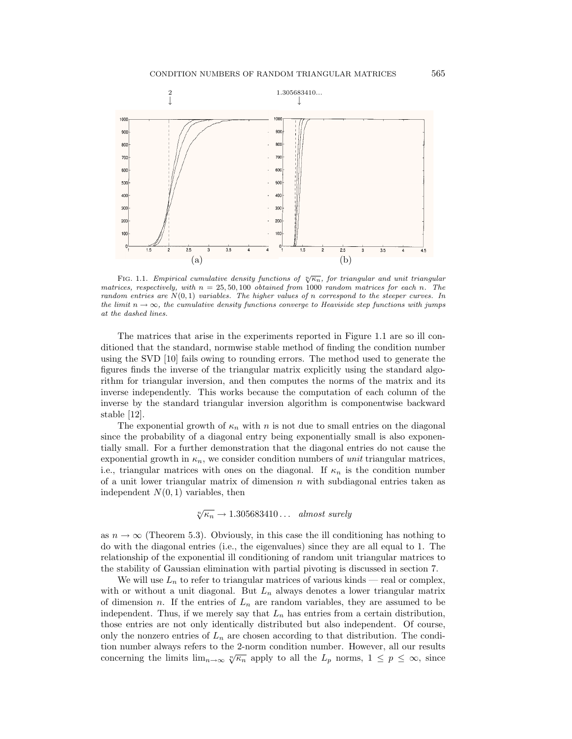

FIG. 1.1. Empirical cumulative density functions of  $\sqrt[n]{\kappa_n}$ , for triangular and unit triangular matrices, respectively, with  $n = 25, 50, 100$  obtained from 1000 random matrices for each n. The random entries are  $N(0, 1)$  variables. The higher values of n correspond to the steeper curves. In the limit  $n \to \infty$ , the cumulative density functions converge to Heaviside step functions with jumps at the dashed lines.

The matrices that arise in the experiments reported in Figure 1.1 are so ill conditioned that the standard, normwise stable method of finding the condition number using the SVD [10] fails owing to rounding errors. The method used to generate the figures finds the inverse of the triangular matrix explicitly using the standard algorithm for triangular inversion, and then computes the norms of the matrix and its inverse independently. This works because the computation of each column of the inverse by the standard triangular inversion algorithm is componentwise backward stable [12].

The exponential growth of  $\kappa_n$  with n is not due to small entries on the diagonal since the probability of a diagonal entry being exponentially small is also exponentially small. For a further demonstration that the diagonal entries do not cause the exponential growth in  $\kappa_n$ , we consider condition numbers of *unit* triangular matrices, i.e., triangular matrices with ones on the diagonal. If  $\kappa_n$  is the condition number of a unit lower triangular matrix of dimension  $n$  with subdiagonal entries taken as independent  $N(0, 1)$  variables, then

$$
\sqrt[n]{\kappa_n} \to 1.305683410...
$$
 almost surely

as  $n \to \infty$  (Theorem 5.3). Obviously, in this case the ill conditioning has nothing to do with the diagonal entries (i.e., the eigenvalues) since they are all equal to 1. The relationship of the exponential ill conditioning of random unit triangular matrices to the stability of Gaussian elimination with partial pivoting is discussed in section 7.

We will use  $L_n$  to refer to triangular matrices of various kinds — real or complex, with or without a unit diagonal. But  $L_n$  always denotes a lower triangular matrix of dimension n. If the entries of  $L_n$  are random variables, they are assumed to be independent. Thus, if we merely say that  $L_n$  has entries from a certain distribution, those entries are not only identically distributed but also independent. Of course, only the nonzero entries of  $L_n$  are chosen according to that distribution. The condition number always refers to the 2-norm condition number. However, all our results concerning the limits  $\lim_{n\to\infty} \sqrt[n]{\kappa_n}$  apply to all the  $L_p$  norms,  $1 \leq p \leq \infty$ , since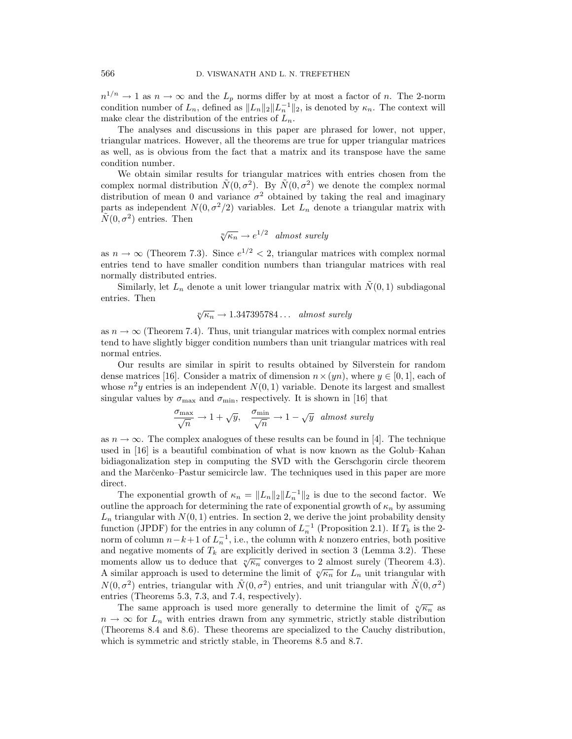$n^{1/n} \to 1$  as  $n \to \infty$  and the  $L_p$  norms differ by at most a factor of n. The 2-norm condition number of  $L_n$ , defined as  $||L_n||_2||L_n^{-1}||_2$ , is denoted by  $\kappa_n$ . The context will make clear the distribution of the entries of  $L_n$ .

The analyses and discussions in this paper are phrased for lower, not upper, triangular matrices. However, all the theorems are true for upper triangular matrices as well, as is obvious from the fact that a matrix and its transpose have the same condition number.

We obtain similar results for triangular matrices with entries chosen from the complex normal distribution  $\tilde{N}(0, \sigma^2)$ . By  $\tilde{N}(0, \sigma^2)$  we denote the complex normal distribution of mean 0 and variance  $\sigma^2$  obtained by taking the real and imaginary parts as independent  $N(0, \sigma^2/2)$  variables. Let  $L_n$  denote a triangular matrix with  $\tilde{N}(0, \sigma^2)$  entries. Then

$$
\sqrt[n]{\kappa_n} \to e^{1/2} \quad almost \ surely
$$

as  $n \to \infty$  (Theorem 7.3). Since  $e^{1/2} < 2$ , triangular matrices with complex normal entries tend to have smaller condition numbers than triangular matrices with real normally distributed entries.

Similarly, let  $L_n$  denote a unit lower triangular matrix with  $\tilde{N}(0, 1)$  subdiagonal entries. Then

$$
\sqrt[n]{\kappa_n} \to 1.347395784\dots \quad almost \ surely
$$

as  $n \to \infty$  (Theorem 7.4). Thus, unit triangular matrices with complex normal entries tend to have slightly bigger condition numbers than unit triangular matrices with real normal entries.

Our results are similar in spirit to results obtained by Silverstein for random dense matrices [16]. Consider a matrix of dimension  $n \times (yn)$ , where  $y \in [0, 1]$ , each of whose  $n^2y$  entries is an independent  $N(0, 1)$  variable. Denote its largest and smallest singular values by  $\sigma_{\text{max}}$  and  $\sigma_{\text{min}}$ , respectively. It is shown in [16] that

$$
\frac{\sigma_{\max}}{\sqrt{n}} \to 1 + \sqrt{y}, \quad \frac{\sigma_{\min}}{\sqrt{n}} \to 1 - \sqrt{y} \quad almost \ surely
$$

as  $n \to \infty$ . The complex analogues of these results can be found in [4]. The technique used in [16] is a beautiful combination of what is now known as the Golub–Kahan bidiagonalization step in computing the SVD with the Gerschgorin circle theorem and the Marčenko–Pastur semicircle law. The techniques used in this paper are more direct.

The exponential growth of  $\kappa_n = ||L_n||_2 ||L_n^{-1}||_2$  is due to the second factor. We outline the approach for determining the rate of exponential growth of  $\kappa_n$  by assuming  $L_n$  triangular with  $N(0, 1)$  entries. In section 2, we derive the joint probability density function (JPDF) for the entries in any column of  $L_n^{-1}$  (Proposition 2.1). If  $T_k$  is the 2norm of column  $n-k+1$  of  $L_n^{-1}$ , i.e., the column with k nonzero entries, both positive and negative moments of  $T_k$  are explicitly derived in section 3 (Lemma 3.2). These moments allow us to deduce that  $\sqrt[n]{\kappa_n}$  converges to 2 almost surely (Theorem 4.3). A similar approach is used to determine the limit of  $\sqrt[n]{\kappa_n}$  for  $L_n$  unit triangular with  $N(0, \sigma^2)$  entries, triangular with  $\tilde{N}(0, \sigma^2)$  entries, and unit triangular with  $\tilde{N}(0, \sigma^2)$ entries (Theorems 5.3, 7.3, and 7.4, respectively).

The same approach is used more generally to determine the limit of  $\sqrt[n]{\kappa_n}$  as  $n \to \infty$  for  $L_n$  with entries drawn from any symmetric, strictly stable distribution (Theorems 8.4 and 8.6). These theorems are specialized to the Cauchy distribution, which is symmetric and strictly stable, in Theorems 8.5 and 8.7.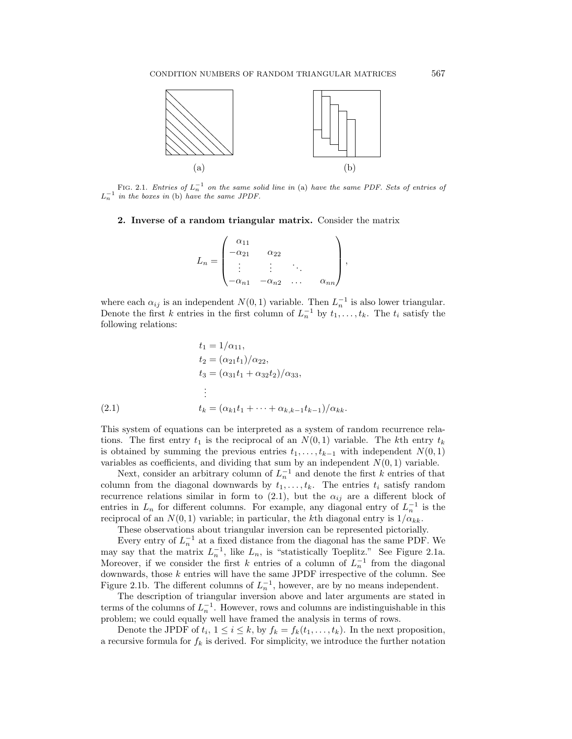

FIG. 2.1. Entries of  $L_n^{-1}$  on the same solid line in (a) have the same PDF. Sets of entries of  $L_n^{-1}$  in the boxes in (b) have the same JPDF.

## **2. Inverse of a random triangular matrix.** Consider the matrix

|       | $\alpha_{11}$ |                |                      |               |  |
|-------|---------------|----------------|----------------------|---------------|--|
| $=$   | $\alpha_{21}$ | $\alpha_{22}$  |                      |               |  |
| $L_n$ | ٠             | ٠              | ٠                    |               |  |
|       | $\alpha_{n1}$ | $-\alpha_{n2}$ | $\ddot{\phantom{0}}$ | $\alpha_{nn}$ |  |

where each  $\alpha_{ij}$  is an independent  $N(0, 1)$  variable. Then  $L_n^{-1}$  is also lower triangular. Denote the first k entries in the first column of  $L_n^{-1}$  by  $t_1,\ldots,t_k$ . The  $t_i$  satisfy the following relations:

(2.1) 
$$
t_{1} = 1/\alpha_{11},
$$

$$
t_{2} = (\alpha_{21}t_{1})/\alpha_{22},
$$

$$
t_{3} = (\alpha_{31}t_{1} + \alpha_{32}t_{2})/\alpha_{33},
$$

$$
\vdots
$$

$$
t_{k} = (\alpha_{k1}t_{1} + \dots + \alpha_{k,k-1}t_{k-1})/\alpha_{kk}.
$$

This system of equations can be interpreted as a system of random recurrence relations. The first entry  $t_1$  is the reciprocal of an  $N(0, 1)$  variable. The kth entry  $t_k$ is obtained by summing the previous entries  $t_1,\ldots,t_{k-1}$  with independent  $N(0,1)$ variables as coefficients, and dividing that sum by an independent  $N(0, 1)$  variable.

Next, consider an arbitrary column of  $L_n^{-1}$  and denote the first k entries of that column from the diagonal downwards by  $t_1, \ldots, t_k$ . The entries  $t_i$  satisfy random recurrence relations similar in form to  $(2.1)$ , but the  $\alpha_{ij}$  are a different block of entries in  $L_n$  for different columns. For example, any diagonal entry of  $L_n^{-1}$  is the reciprocal of an  $N(0, 1)$  variable; in particular, the kth diagonal entry is  $1/\alpha_{kk}$ .

These observations about triangular inversion can be represented pictorially.

Every entry of  $L_n^{-1}$  at a fixed distance from the diagonal has the same PDF. We may say that the matrix  $L_n^{-1}$ , like  $L_n$ , is "statistically Toeplitz." See Figure 2.1a. Moreover, if we consider the first k entries of a column of  $L_n^{-1}$  from the diagonal downwards, those  $k$  entries will have the same JPDF irrespective of the column. See Figure 2.1b. The different columns of  $L_n^{-1}$ , however, are by no means independent.

The description of triangular inversion above and later arguments are stated in terms of the columns of  $L_n^{-1}$ . However, rows and columns are indistinguishable in this problem; we could equally well have framed the analysis in terms of rows.

Denote the JPDF of  $t_i$ ,  $1 \leq i \leq k$ , by  $f_k = f_k(t_1,\ldots,t_k)$ . In the next proposition, a recursive formula for  $f_k$  is derived. For simplicity, we introduce the further notation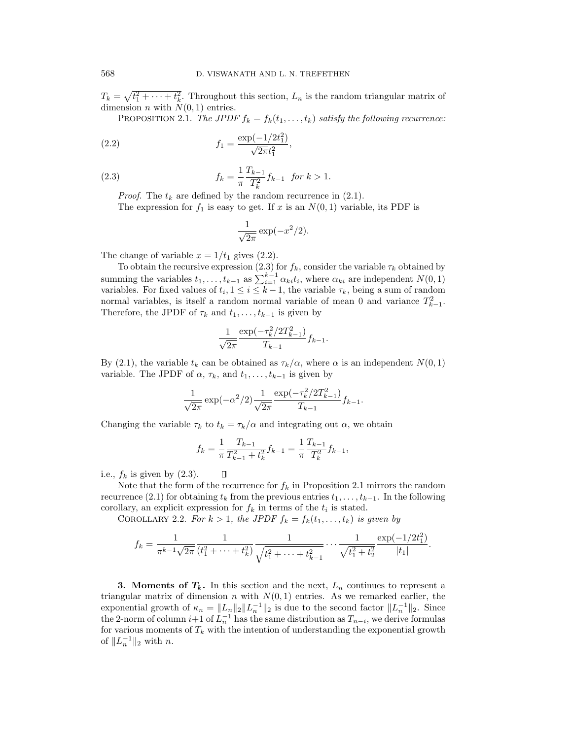$T_k = \sqrt{t_1^2 + \cdots + t_k^2}$ . Throughout this section,  $L_n$  is the random triangular matrix of dimension *n* with  $N(0, 1)$  entries.

PROPOSITION 2.1. The JPDF  $f_k = f_k(t_1, \ldots, t_k)$  satisfy the following recurrence:

(2.2) 
$$
f_1 = \frac{\exp(-1/2t_1^2)}{\sqrt{2\pi}t_1^2},
$$

(2.3) 
$$
f_k = \frac{1}{\pi} \frac{T_{k-1}}{T_k^2} f_{k-1} \text{ for } k > 1.
$$

*Proof.* The  $t_k$  are defined by the random recurrence in (2.1).

The expression for  $f_1$  is easy to get. If x is an  $N(0, 1)$  variable, its PDF is

$$
\frac{1}{\sqrt{2\pi}}\exp(-x^2/2).
$$

The change of variable  $x = 1/t_1$  gives (2.2).

To obtain the recursive expression (2.3) for  $f_k$ , consider the variable  $\tau_k$  obtained by summing the variables  $t_1, \ldots, t_{k-1}$  as  $\sum_{i=1}^{k-1} \alpha_{ki} t_i$ , where  $\alpha_{ki}$  are independent  $N(0, 1)$ variables. For fixed values of  $t_i$ ,  $1 \leq i \leq k-1$ , the variable  $\tau_k$ , being a sum of random normal variables, is itself a random normal variable of mean 0 and variance  $T_{k-1}^2$ . Therefore, the JPDF of  $\tau_k$  and  $t_1,\ldots,t_{k-1}$  is given by

$$
\frac{1}{\sqrt{2\pi}} \frac{\exp(-\tau_k^2/2T_{k-1}^2)}{T_{k-1}} f_{k-1}.
$$

By (2.1), the variable  $t_k$  can be obtained as  $\tau_k/\alpha$ , where  $\alpha$  is an independent  $N(0, 1)$ variable. The JPDF of  $\alpha$ ,  $\tau_k$ , and  $t_1, \ldots, t_{k-1}$  is given by

$$
\frac{1}{\sqrt{2\pi}}\exp(-\alpha^2/2)\frac{1}{\sqrt{2\pi}}\frac{\exp(-\tau_k^2/2T_{k-1}^2)}{T_{k-1}}f_{k-1}.
$$

Changing the variable  $\tau_k$  to  $t_k = \tau_k/\alpha$  and integrating out  $\alpha$ , we obtain

O

$$
f_k = \frac{1}{\pi} \frac{T_{k-1}}{T_{k-1}^2 + t_k^2} f_{k-1} = \frac{1}{\pi} \frac{T_{k-1}}{T_k^2} f_{k-1},
$$

i.e.,  $f_k$  is given by  $(2.3)$ .

Note that the form of the recurrence for  $f_k$  in Proposition 2.1 mirrors the random recurrence (2.1) for obtaining  $t_k$  from the previous entries  $t_1,\ldots,t_{k-1}$ . In the following corollary, an explicit expression for  $f_k$  in terms of the  $t_i$  is stated.

COROLLARY 2.2. For  $k > 1$ , the JPDF  $f_k = f_k(t_1, \ldots, t_k)$  is given by

$$
f_k = \frac{1}{\pi^{k-1}\sqrt{2\pi}} \frac{1}{(t_1^2 + \dots + t_k^2)} \frac{1}{\sqrt{t_1^2 + \dots + t_{k-1}^2}} \dots \frac{1}{\sqrt{t_1^2 + t_2^2}} \frac{\exp(-1/2t_1^2)}{|t_1|}.
$$

**3. Moments of**  $T_k$ **.** In this section and the next,  $L_n$  continues to represent a triangular matrix of dimension n with  $N(0, 1)$  entries. As we remarked earlier, the exponential growth of  $\kappa_n = ||L_n||_2 ||L_n^{-1}||_2$  is due to the second factor  $||L_n^{-1}||_2$ . Since the 2-norm of column  $i+1$  of  $L_n^{-1}$  has the same distribution as  $T_{n-i}$ , we derive formulas for various moments of  $T_k$  with the intention of understanding the exponential growth of  $||L_n^{-1}||_2$  with n.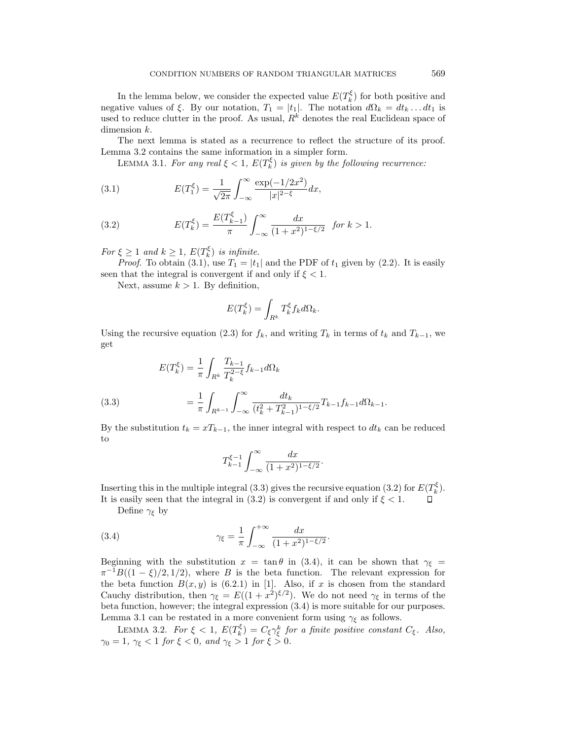In the lemma below, we consider the expected value  $E(T_k^{\xi})$  for both positive and negative values of ξ. By our notation,  $T_1 = |t_1|$ . The notation  $d\Omega_k = dt_k \dots dt_1$  is used to reduce clutter in the proof. As usual,  $R^k$  denotes the real Euclidean space of dimension  $k$ .

The next lemma is stated as a recurrence to reflect the structure of its proof. Lemma 3.2 contains the same information in a simpler form.

LEMMA 3.1. For any real  $\xi < 1$ ,  $E(T_k^{\xi})$  is given by the following recurrence:

(3.1) 
$$
E(T_1^{\xi}) = \frac{1}{\sqrt{2\pi}} \int_{-\infty}^{\infty} \frac{\exp(-1/2x^2)}{|x|^{2-\xi}} dx,
$$

(3.2) 
$$
E(T_k^{\xi}) = \frac{E(T_{k-1}^{\xi})}{\pi} \int_{-\infty}^{\infty} \frac{dx}{(1+x^2)^{1-\xi/2}} \text{ for } k > 1.
$$

For  $\xi \geq 1$  and  $k \geq 1$ ,  $E(T_k^{\xi})$  is infinite.

*Proof.* To obtain (3.1), use  $T_1 = |t_1|$  and the PDF of  $t_1$  given by (2.2). It is easily seen that the integral is convergent if and only if  $\xi < 1$ .

Next, assume  $k > 1$ . By definition,

$$
E(T_k^{\xi}) = \int_{R^k} T_k^{\xi} f_k d\Omega_k.
$$

Using the recursive equation (2.3) for  $f_k$ , and writing  $T_k$  in terms of  $t_k$  and  $T_{k-1}$ , we get

(3.3)  
\n
$$
E(T_k^{\xi}) = \frac{1}{\pi} \int_{R^k} \frac{T_{k-1}}{T_k^{2-\xi}} f_{k-1} d\Omega_k
$$
\n
$$
= \frac{1}{\pi} \int_{R^{k-1}} \int_{-\infty}^{\infty} \frac{dt_k}{(t_k^2 + T_{k-1}^2)^{1-\xi/2}} T_{k-1} f_{k-1} d\Omega_{k-1}.
$$

By the substitution  $t_k = xT_{k-1}$ , the inner integral with respect to  $dt_k$  can be reduced to

$$
T_{k-1}^{\xi-1}\int_{-\infty}^{\infty}\frac{dx}{(1+x^2)^{1-\xi/2}}.
$$

Inserting this in the multiple integral (3.3) gives the recursive equation (3.2) for  $E(T_k^{\xi})$ . It is easily seen that the integral in (3.2) is convergent if and only if  $\xi < 1$ .

Define  $\gamma_{\xi}$  by

(3.4) 
$$
\gamma_{\xi} = \frac{1}{\pi} \int_{-\infty}^{+\infty} \frac{dx}{(1+x^2)^{1-\xi/2}}.
$$

Beginning with the substitution  $x = \tan \theta$  in (3.4), it can be shown that  $\gamma_{\xi} =$  $\pi^{-1}B((1-\xi)/2,1/2)$ , where B is the beta function. The relevant expression for the beta function  $B(x, y)$  is (6.2.1) in [1]. Also, if x is chosen from the standard Cauchy distribution, then  $\gamma_{\xi} = E((1+x^2)^{\xi/2})$ . We do not need  $\gamma_{\xi}$  in terms of the beta function, however; the integral expression (3.4) is more suitable for our purposes. Lemma 3.1 can be restated in a more convenient form using  $\gamma_{\xi}$  as follows.

LEMMA 3.2. For  $\xi < 1$ ,  $E(T_k^{\xi}) = C_{\xi} \gamma_{\xi}^{k}$  for a finite positive constant  $C_{\xi}$ . Also,  $\gamma_0 = 1, \ \gamma_{\xi} < 1 \ for \ \xi < 0, \ and \ \gamma_{\xi} > 1 \ for \ \xi > 0.$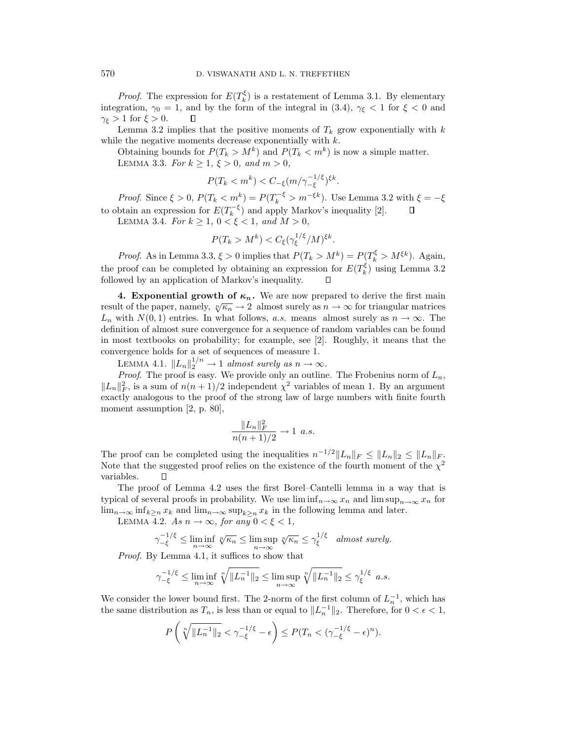*Proof.* The expression for  $E(T_k^{\xi})$  is a restatement of Lemma 3.1. By elementary integration,  $\gamma_0 = 1$ , and by the form of the integral in (3.4),  $\gamma_{\xi} < 1$  for  $\xi < 0$  and  $\gamma_{\xi} > 1$  for  $\xi > 0$ . □

Lemma 3.2 implies that the positive moments of  $T_k$  grow exponentially with k while the negative moments decrease exponentially with  $k$ .

Obtaining bounds for  $P(T_k > M^k)$  and  $P(T_k < m^k)$  is now a simple matter. LEMMA 3.3. For  $k \ge 1, \xi > 0$ , and  $m > 0$ ,

 $P(T_k < m^k) < C_{-\xi} (m/\gamma_{-\xi}^{-1/\xi})^{\xi k}.$ 

*Proof.* Since  $\xi > 0$ ,  $P(T_k < m^k) = P(T_k^{-\xi} > m^{-\xi k})$ . Use Lemma 3.2 with  $\xi = -\xi$ to obtain an expression for  $E(T_k^{-\xi})$  and apply Markov's inequality [2].

LEMMA 3.4. For  $k \ge 1$ ,  $0 < \xi < 1$ , and  $M > 0$ ,

$$
P(T_k > M^k) < C_{\xi} (\gamma_{\xi}^{1/\xi}/M)^{\xi k}.
$$

*Proof.* As in Lemma 3.3,  $\xi > 0$  implies that  $P(T_k > M^k) = P(T_k^{\xi} > M^{\xi k})$ . Again, the proof can be completed by obtaining an expression for  $E(T_k^{\xi})$  using Lemma 3.2 followed by an application of Markov's inequality.

**4. Exponential growth of**  $\kappa_n$ **.** We are now prepared to derive the first main **The paper, namely,**  $\sqrt[n]{\kappa_n} \rightarrow 2$  almost surely as  $n \rightarrow \infty$  for triangular matrices  $L_n$  with  $N(0, 1)$  entries. In what follows, a.s. means almost surely as  $n \to \infty$ . The definition of almost sure convergence for a sequence of random variables can be found in most textbooks on probability; for example, see [2]. Roughly, it means that the convergence holds for a set of sequences of measure 1.

LEMMA 4.1.  $||L_n||_2^{1/n} \to 1$  almost surely as  $n \to \infty$ .

*Proof.* The proof is easy. We provide only an outline. The Frobenius norm of  $L_n$ ,  $||L_n||_F^2$ , is a sum of  $n(n+1)/2$  independent  $\chi^2$  variables of mean 1. By an argument exactly analogous to the proof of the strong law of large numbers with finite fourth moment assumption [2, p. 80],

$$
\frac{\|L_n\|_F^2}{n(n+1)/2} \to 1 \ \ a.s.
$$

The proof can be completed using the inequalities  $n^{-1/2}||L_n||_F \leq ||L_n||_2 \leq ||L_n||_F$ . Note that the suggested proof relies on the existence of the fourth moment of the  $\chi^2$ variables.  $\Box$ 

The proof of Lemma 4.2 uses the first Borel–Cantelli lemma in a way that is typical of several proofs in probability. We use  $\liminf_{n\to\infty}x_n$  and  $\limsup_{n\to\infty}x_n$  for  $\lim_{n\to\infty} \inf_{k\geq n} x_k$  and  $\lim_{n\to\infty} \sup_{k\geq n} x_k$  in the following lemma and later.

LEMMA 4.2. As  $n \to \infty$ , for any  $0 < \xi < 1$ ,

$$
\gamma_{-\xi}^{-1/\xi} \le \liminf_{n \to \infty} \sqrt[n]{\kappa_n} \le \limsup_{n \to \infty} \sqrt[n]{\kappa_n} \le \gamma_{\xi}^{1/\xi} \quad \text{almost surely.}
$$

Proof. By Lemma 4.1, it suffices to show that

$$
\gamma_{-\xi}^{-1/\xi} \le \liminf_{n \to \infty} \sqrt[n]{\|L_n^{-1}\|_2} \le \limsup_{n \to \infty} \sqrt[n]{\|L_n^{-1}\|_2} \le \gamma_{\xi}^{1/\xi} \quad a.s.
$$

We consider the lower bound first. The 2-norm of the first column of  $L_n^{-1}$ , which has the same distribution as  $T_n$ , is less than or equal to  $||L_n^{-1}||_2$ . Therefore, for  $0 < \epsilon < 1$ ,

$$
P\left(\sqrt[n]{\|L_n^{-1}\|_2} < \gamma_{-\xi}^{-1/\xi} - \epsilon\right) \leq P(T_n < (\gamma_{-\xi}^{-1/\xi} - \epsilon)^n).
$$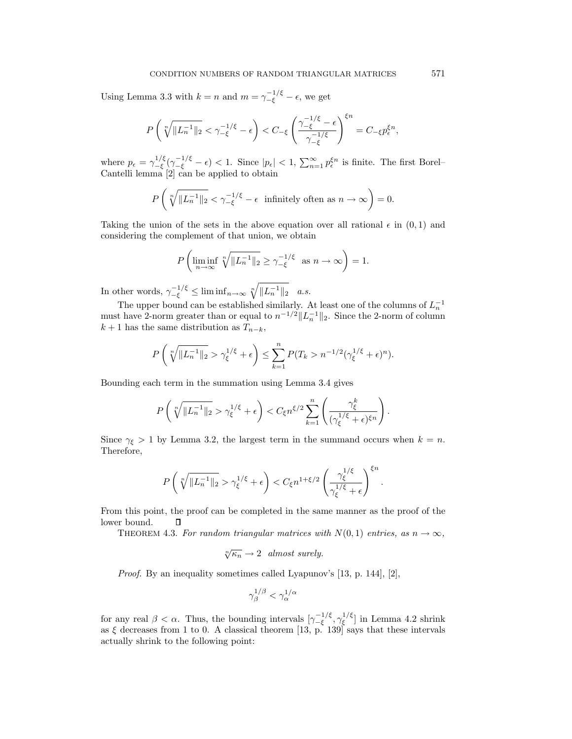Using Lemma 3.3 with  $k = n$  and  $m = \gamma_{-\xi}^{-1/\xi} - \epsilon$ , we get

$$
P\left(\sqrt[n]{\|L_n^{-1}\|_2} < \gamma_{-\xi}^{-1/\xi} - \epsilon\right) < C_{-\xi} \left(\frac{\gamma_{-\xi}^{-1/\xi} - \epsilon}{\gamma_{-\xi}^{-1/\xi}}\right)^{\xi n} = C_{-\xi} p_{\epsilon}^{\xi n},
$$

where  $p_{\epsilon} = \gamma_{-\xi}^{1/\xi}(\gamma_{-\xi}^{-1/\xi} - \epsilon) < 1$ . Since  $|p_{\epsilon}| < 1$ ,  $\sum_{n=1}^{\infty} p_{\epsilon}^{\xi n}$  is finite. The first Borel-Cantelli lemma [2] can be applied to obtain

$$
P\left(\sqrt[n]{\|L_n^{-1}\|_2} < \gamma_{-\xi}^{-1/\xi} - \epsilon \text{ infinitely often as } n \to \infty\right) = 0.
$$

Taking the union of the sets in the above equation over all rational  $\epsilon$  in  $(0, 1)$  and considering the complement of that union, we obtain

$$
P\left(\liminf_{n\to\infty}\sqrt[n]{\|L_n^{-1}\|_2}\geq \gamma_{-\xi}^{-1/\xi} \text{ as } n\to\infty\right)=1.
$$

In other words,  $\gamma_{-\xi}^{-1/\xi} \leq \liminf_{n \to \infty} \sqrt[n]{\|L_n^{-1}\|_2}$  a.s.

The upper bound can be established similarly. At least one of the columns of  $L_n^{-1}$ must have 2-norm greater than or equal to  $n^{-1/2}||L_n^{-1}||_2$ . Since the 2-norm of column  $k + 1$  has the same distribution as  $T_{n-k}$ ,

$$
P\left(\sqrt[n]{\|L_n^{-1}\|_2} > \gamma_{\xi}^{1/\xi} + \epsilon\right) \le \sum_{k=1}^n P(T_k > n^{-1/2}(\gamma_{\xi}^{1/\xi} + \epsilon)^n).
$$

Bounding each term in the summation using Lemma 3.4 gives

$$
P\left(\sqrt[n]{\|L_n^{-1}\|_2} > \gamma_{\xi}^{1/\xi} + \epsilon\right) < C_{\xi} n^{\xi/2} \sum_{k=1}^n \left(\frac{\gamma_{\xi}^k}{(\gamma_{\xi}^{1/\xi} + \epsilon)^{\xi n}}\right).
$$

Since  $\gamma_{\xi} > 1$  by Lemma 3.2, the largest term in the summand occurs when  $k = n$ . Therefore,

$$
P\left(\sqrt[n]{\|L_n^{-1}\|_2} > \gamma_{\xi}^{1/\xi} + \epsilon\right) < C_{\xi}n^{1+\xi/2}\left(\frac{\gamma_{\xi}^{1/\xi}}{\gamma_{\xi}^{1/\xi} + \epsilon}\right)^{\xi n}.
$$

From this point, the proof can be completed in the same manner as the proof of the lower bound.  $\Box$ 

THEOREM 4.3. For random triangular matrices with  $N(0, 1)$  entries, as  $n \to \infty$ ,

$$
\sqrt[n]{\kappa_n} \to 2 \quad almost \ surely.
$$

Proof. By an inequality sometimes called Lyapunov's [13, p. 144], [2],

$$
\gamma_\beta^{1/\beta}<\gamma_\alpha^{1/\alpha}
$$

for any real  $\beta < \alpha$ . Thus, the bounding intervals  $[\gamma_{-\xi}^{-1/\xi}, \gamma_{\xi}^{1/\xi}]$  in Lemma 4.2 shrink as  $\xi$  decreases from 1 to 0. A classical theorem [13, p. 139] says that these intervals actually shrink to the following point: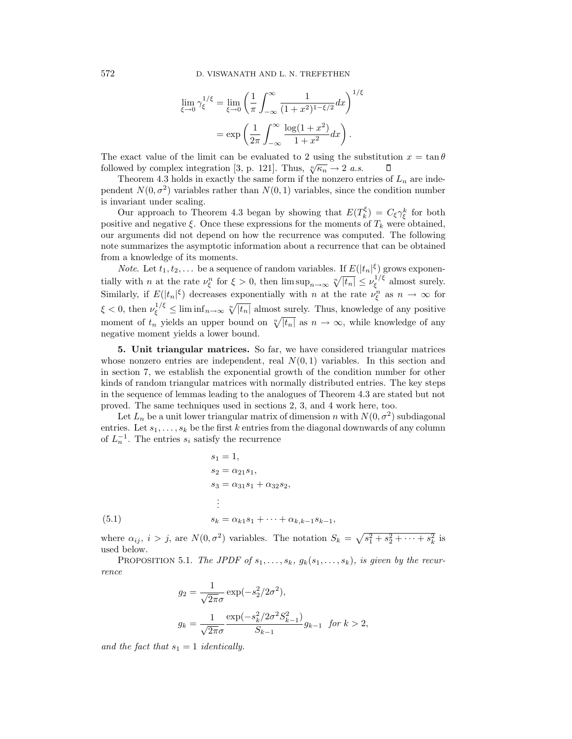$$
\lim_{\xi \to 0} \gamma_{\xi}^{1/\xi} = \lim_{\xi \to 0} \left( \frac{1}{\pi} \int_{-\infty}^{\infty} \frac{1}{(1+x^2)^{1-\xi/2}} dx \right)^{1/\xi}
$$

$$
= \exp \left( \frac{1}{2\pi} \int_{-\infty}^{\infty} \frac{\log(1+x^2)}{1+x^2} dx \right).
$$

The exact value of the limit can be evaluated to 2 using the substitution  $x = \tan \theta$ followed by complex integration [3, p. 121]. Thus,  $\sqrt[n]{\kappa_n} \to 2$  *a.s.* Л

Theorem 4.3 holds in exactly the same form if the nonzero entries of  $L_n$  are independent  $N(0, \sigma^2)$  variables rather than  $N(0, 1)$  variables, since the condition number is invariant under scaling.

Our approach to Theorem 4.3 began by showing that  $E(T_k^{\xi}) = C_{\xi} \gamma_{\xi}^{k}$  for both positive and negative  $\xi$ . Once these expressions for the moments of  $T_k$  were obtained, our arguments did not depend on how the recurrence was computed. The following note summarizes the asymptotic information about a recurrence that can be obtained from a knowledge of its moments.

*Note.* Let  $t_1, t_2, \ldots$  be a sequence of random variables. If  $E(|t_n|^{\xi})$  grows exponentially with *n* at the rate  $\nu_{\xi}^{n}$  for  $\xi > 0$ , then  $\limsup_{n \to \infty} \sqrt[n]{|t_n|} \leq \nu_{\xi}^{1/\xi}$  almost surely. Similarly, if  $E(|t_n|^{\xi})$  decreases exponentially with n at the rate  $\nu_{\xi}^n$  as  $n \to \infty$  for  $\xi < 0$ , then  $\nu_{\xi}^{1/\xi} \leq \liminf_{n \to \infty} \sqrt[n]{|t_n|}$  almost surely. Thus, knowledge of any positive moment of  $t_n$  yields an upper bound on  $\sqrt[n]{|t_n|}$  as  $n \to \infty$ , while knowledge of any negative moment yields a lower bound.

**5. Unit triangular matrices.** So far, we have considered triangular matrices whose nonzero entries are independent, real  $N(0, 1)$  variables. In this section and in section 7, we establish the exponential growth of the condition number for other kinds of random triangular matrices with normally distributed entries. The key steps in the sequence of lemmas leading to the analogues of Theorem 4.3 are stated but not proved. The same techniques used in sections 2, 3, and 4 work here, too.

Let  $L_n$  be a unit lower triangular matrix of dimension n with  $N(0, \sigma^2)$  subdiagonal entries. Let  $s_1, \ldots, s_k$  be the first k entries from the diagonal downwards of any column of  $L_n^{-1}$ . The entries  $s_i$  satisfy the recurrence

(5.1)  
\n
$$
s_{1} = 1,
$$
\n
$$
s_{2} = \alpha_{21} s_{1},
$$
\n
$$
s_{3} = \alpha_{31} s_{1} + \alpha_{32} s_{2},
$$
\n
$$
\vdots
$$
\n
$$
s_{k} = \alpha_{k1} s_{1} + \dots + \alpha_{k,k-1} s_{k-1},
$$

where  $\alpha_{ij}$ ,  $i > j$ , are  $N(0, \sigma^2)$  variables. The notation  $S_k = \sqrt{s_1^2 + s_2^2 + \cdots + s_k^2}$  is used below.

PROPOSITION 5.1. The JPDF of  $s_1, \ldots, s_k, g_k(s_1, \ldots, s_k)$ , is given by the recurrence

$$
g_2 = \frac{1}{\sqrt{2\pi}\sigma} \exp(-s_2^2/2\sigma^2),
$$
  

$$
g_k = \frac{1}{\sqrt{2\pi}\sigma} \frac{\exp(-s_k^2/2\sigma^2 S_{k-1}^2)}{S_{k-1}} g_{k-1} \text{ for } k > 2,
$$

and the fact that  $s_1 = 1$  identically.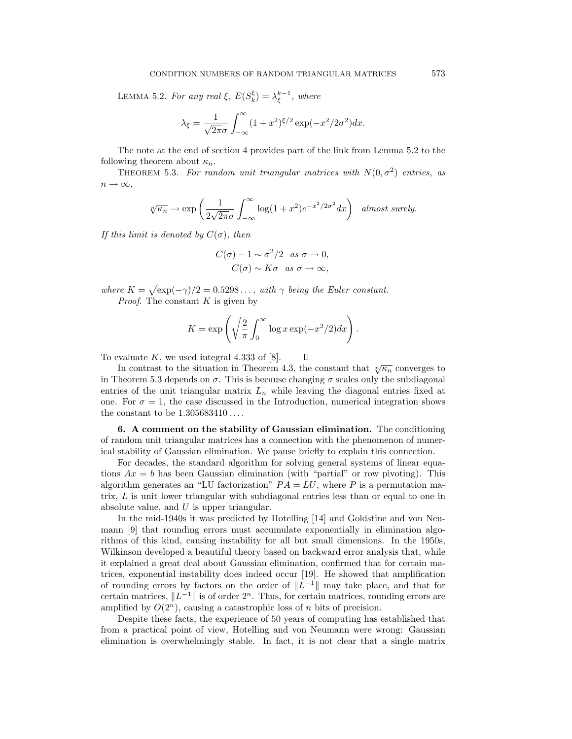LEMMA 5.2. For any real  $\xi$ ,  $E(S_k^{\xi}) = \lambda_{\xi}^{k-1}$ , where

$$
\lambda_{\xi} = \frac{1}{\sqrt{2\pi}\sigma} \int_{-\infty}^{\infty} (1+x^2)^{\xi/2} \exp(-x^2/2\sigma^2) dx.
$$

The note at the end of section 4 provides part of the link from Lemma 5.2 to the following theorem about  $\kappa_n$ .

THEOREM 5.3. For random unit triangular matrices with  $N(0, \sigma^2)$  entries, as  $n \to \infty$ ,

$$
\sqrt[n]{\kappa_n} \to \exp\left(\frac{1}{2\sqrt{2\pi}\sigma} \int_{-\infty}^{\infty} \log(1+x^2) e^{-x^2/2\sigma^2} dx\right) \text{ almost surely.}
$$

If this limit is denoted by  $C(\sigma)$ , then

$$
C(\sigma) - 1 \sim \sigma^2/2 \text{ as } \sigma \to 0,
$$
  

$$
C(\sigma) \sim K\sigma \text{ as } \sigma \to \infty,
$$

where  $K = \sqrt{\exp(-\gamma)/2} = 0.5298...$ , with  $\gamma$  being the Euler constant. *Proof.* The constant  $K$  is given by

$$
K = \exp\left(\sqrt{\frac{2}{\pi}} \int_0^\infty \log x \exp(-x^2/2) dx\right).
$$

To evaluate  $K$ , we used integral 4.333 of [8].

In contrast to the situation in Theorem 4.3, the constant that  $\sqrt[n]{\kappa_n}$  converges to in Theorem 5.3 depends on  $\sigma$ . This is because changing  $\sigma$  scales only the subdiagonal entries of the unit triangular matrix  $L_n$  while leaving the diagonal entries fixed at one. For  $\sigma = 1$ , the case discussed in the Introduction, numerical integration shows the constant to be 1.305683410 ... .

**6. A comment on the stability of Gaussian elimination.** The conditioning of random unit triangular matrices has a connection with the phenomenon of numerical stability of Gaussian elimination. We pause briefly to explain this connection.

For decades, the standard algorithm for solving general systems of linear equations  $Ax = b$  has been Gaussian elimination (with "partial" or row pivoting). This algorithm generates an "LU factorization"  $PA = LU$ , where P is a permutation matrix, L is unit lower triangular with subdiagonal entries less than or equal to one in absolute value, and  $U$  is upper triangular.

In the mid-1940s it was predicted by Hotelling [14] and Goldstine and von Neumann [9] that rounding errors must accumulate exponentially in elimination algorithms of this kind, causing instability for all but small dimensions. In the 1950s, Wilkinson developed a beautiful theory based on backward error analysis that, while it explained a great deal about Gaussian elimination, confirmed that for certain matrices, exponential instability does indeed occur [19]. He showed that amplification of rounding errors by factors on the order of  $\Vert L^{-1}\Vert$  may take place, and that for certain matrices,  $||L^{-1}||$  is of order  $2<sup>n</sup>$ . Thus, for certain matrices, rounding errors are amplified by  $O(2^n)$ , causing a catastrophic loss of n bits of precision.

Despite these facts, the experience of 50 years of computing has established that from a practical point of view, Hotelling and von Neumann were wrong: Gaussian elimination is overwhelmingly stable. In fact, it is not clear that a single matrix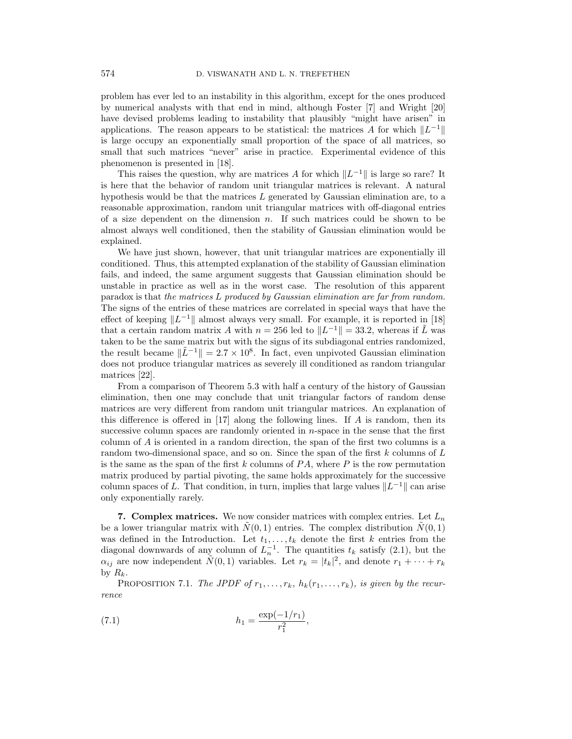problem has ever led to an instability in this algorithm, except for the ones produced by numerical analysts with that end in mind, although Foster [7] and Wright [20] have devised problems leading to instability that plausibly "might have arisen" in applications. The reason appears to be statistical: the matrices A for which  $||L^{-1}||$ is large occupy an exponentially small proportion of the space of all matrices, so small that such matrices "never" arise in practice. Experimental evidence of this phenomenon is presented in [18].

This raises the question, why are matrices A for which  $\Vert L^{-1} \Vert$  is large so rare? It is here that the behavior of random unit triangular matrices is relevant. A natural hypothesis would be that the matrices  $L$  generated by Gaussian elimination are, to a reasonable approximation, random unit triangular matrices with off-diagonal entries of a size dependent on the dimension  $n$ . If such matrices could be shown to be almost always well conditioned, then the stability of Gaussian elimination would be explained.

We have just shown, however, that unit triangular matrices are exponentially ill conditioned. Thus, this attempted explanation of the stability of Gaussian elimination fails, and indeed, the same argument suggests that Gaussian elimination should be unstable in practice as well as in the worst case. The resolution of this apparent paradox is that the matrices L produced by Gaussian elimination are far from random. The signs of the entries of these matrices are correlated in special ways that have the effect of keeping  $||L^{-1}||$  almost always very small. For example, it is reported in [18] that a certain random matrix A with  $n = 256$  led to  $||L^{-1}|| = 33.2$ , whereas if  $\tilde{L}$  was taken to be the same matrix but with the signs of its subdiagonal entries randomized, the result became  $\|\tilde{L}^{-1}\| = 2.7 \times 10^8$ . In fact, even unpivoted Gaussian elimination does not produce triangular matrices as severely ill conditioned as random triangular matrices [22].

From a comparison of Theorem 5.3 with half a century of the history of Gaussian elimination, then one may conclude that unit triangular factors of random dense matrices are very different from random unit triangular matrices. An explanation of this difference is offered in  $[17]$  along the following lines. If A is random, then its successive column spaces are randomly oriented in n-space in the sense that the first column of A is oriented in a random direction, the span of the first two columns is a random two-dimensional space, and so on. Since the span of the first  $k$  columns of  $L$ is the same as the span of the first  $k$  columns of  $PA$ , where  $P$  is the row permutation matrix produced by partial pivoting, the same holds approximately for the successive column spaces of L. That condition, in turn, implies that large values  $||L^{-1}||$  can arise only exponentially rarely.

**7. Complex matrices.** We now consider matrices with complex entries. Let  $L_n$ be a lower triangular matrix with  $\tilde{N}(0, 1)$  entries. The complex distribution  $\tilde{N}(0, 1)$ was defined in the Introduction. Let  $t_1, \ldots, t_k$  denote the first k entries from the diagonal downwards of any column of  $L_n^{-1}$ . The quantities  $t_k$  satisfy (2.1), but the  $\alpha_{ij}$  are now independent  $\tilde{N}(0,1)$  variables. Let  $r_k = |t_k|^2$ , and denote  $r_1 + \cdots + r_k$ by  $R_k$ .

PROPOSITION 7.1. The JPDF of  $r_1, \ldots, r_k$ ,  $h_k(r_1, \ldots, r_k)$ , is given by the recurrence

(7.1) 
$$
h_1 = \frac{\exp(-1/r_1)}{r_1^2},
$$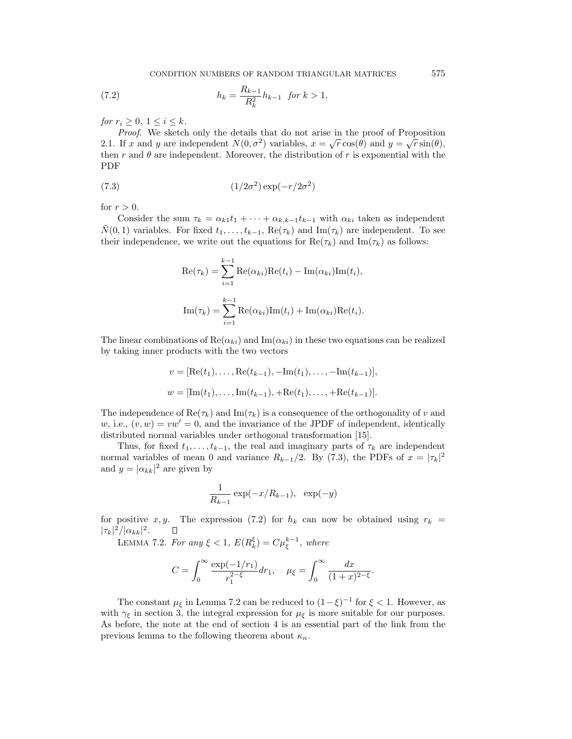CONDITION NUMBERS OF RANDOM TRIANGULAR MATRICES 575

(7.2) 
$$
h_k = \frac{R_{k-1}}{R_k^2} h_{k-1} \text{ for } k > 1,
$$

for  $r_i \geq 0, 1 \leq i \leq k$ .

Proof. We sketch only the details that do not arise in the proof of Proposition 2.1. If x and y are independent  $N(0, \sigma^2)$  variables,  $x = \sqrt{r} \cos(\theta)$  and  $y = \sqrt{r} \sin(\theta)$ , then r and  $\theta$  are independent. Moreover, the distribution of r is exponential with the PDF

$$
(7.3)\qquad \qquad (1/2\sigma^2)\exp(-r/2\sigma^2)
$$

for  $r > 0$ .

Consider the sum  $\tau_k = \alpha_{k1}t_1 + \cdots + \alpha_{k,k-1}t_{k-1}$  with  $\alpha_{ki}$  taken as independent  $\hat{N}(0,1)$  variables. For fixed  $t_1,\ldots,t_{k-1}$ , Re $(\tau_k)$  and Im $(\tau_k)$  are independent. To see their independence, we write out the equations for  $\text{Re}(\tau_k)$  and  $\text{Im}(\tau_k)$  as follows:

$$
\operatorname{Re}(\tau_k) = \sum_{i=1}^{k-1} \operatorname{Re}(\alpha_{ki}) \operatorname{Re}(t_i) - \operatorname{Im}(\alpha_{ki}) \operatorname{Im}(t_i),
$$
  

$$
\operatorname{Im}(\tau_k) = \sum_{i=1}^{k-1} \operatorname{Re}(\alpha_{ki}) \operatorname{Im}(t_i) + \operatorname{Im}(\alpha_{ki}) \operatorname{Re}(t_i).
$$

The linear combinations of  $\text{Re}(\alpha_{ki})$  and  $\text{Im}(\alpha_{ki})$  in these two equations can be realized by taking inner products with the two vectors

$$
v = [\text{Re}(t_1), \dots, \text{Re}(t_{k-1}), -\text{Im}(t_1), \dots, -\text{Im}(t_{k-1})],
$$
  

$$
w = [\text{Im}(t_1), \dots, \text{Im}(t_{k-1}), +\text{Re}(t_1), \dots, +\text{Re}(t_{k-1})].
$$

The independence of  $\text{Re}(\tau_k)$  and  $\text{Im}(\tau_k)$  is a consequence of the orthogonality of v and w, i.e.,  $(v, w) = vw' = 0$ , and the invariance of the JPDF of independent, identically distributed normal variables under orthogonal transformation [15].

Thus, for fixed  $t_1,\ldots,t_{k-1}$ , the real and imaginary parts of  $\tau_k$  are independent normal variables of mean 0 and variance  $R_{k-1}/2$ . By (7.3), the PDFs of  $x = |\tau_k|^2$ and  $y = |\alpha_{kk}|^2$  are given by

$$
\frac{1}{R_{k-1}}\exp(-x/R_{k-1}), \exp(-y)
$$

for positive x, y. The expression (7.2) for  $h_k$  can now be obtained using  $r_k =$  $|\tau_k|^2/|\alpha_{kk}|^2$ .  $\Box$ 

LEMMA 7.2. For any  $\xi < 1$ ,  $E(R_k^{\xi}) = C\mu_{\xi}^{k-1}$ , where

$$
C = \int_0^\infty \frac{\exp(-1/r_1)}{r_1^{2-\xi}} dr_1, \quad \mu_\xi = \int_0^\infty \frac{dx}{(1+x)^{2-\xi}}.
$$

The constant  $\mu_{\xi}$  in Lemma 7.2 can be reduced to  $(1-\xi)^{-1}$  for  $\xi < 1$ . However, as with  $\gamma_{\xi}$  in section 3, the integral expression for  $\mu_{\xi}$  is more suitable for our purposes. As before, the note at the end of section 4 is an essential part of the link from the previous lemma to the following theorem about  $\kappa_n$ .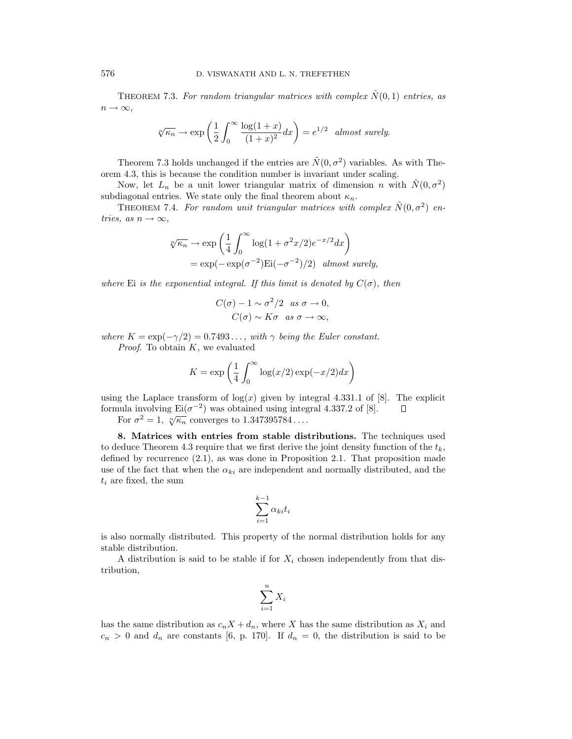THEOREM 7.3. For random triangular matrices with complex  $\tilde{N}(0,1)$  entries, as  $n \to \infty$ ,

$$
\sqrt[n]{\kappa_n} \to \exp\left(\frac{1}{2} \int_0^\infty \frac{\log(1+x)}{(1+x)^2} dx\right) = e^{1/2} \text{ almost surely.}
$$

Theorem 7.3 holds unchanged if the entries are  $\tilde{N}(0, \sigma^2)$  variables. As with Theorem 4.3, this is because the condition number is invariant under scaling.

Now, let  $L_n$  be a unit lower triangular matrix of dimension n with  $\tilde{N}(0, \sigma^2)$ subdiagonal entries. We state only the final theorem about  $\kappa_n$ .

THEOREM 7.4. For random unit triangular matrices with complex  $\tilde{N}(0, \sigma^2)$  entries, as  $n \to \infty$ ,

$$
\sqrt[n]{\kappa_n} \to \exp\left(\frac{1}{4} \int_0^\infty \log(1 + \sigma^2 x/2) e^{-x/2} dx\right)
$$
  
=  $\exp(-\exp(\sigma^{-2}) \mathrm{Ei}(-\sigma^{-2})/2)$  almost surely,

where Ei is the exponential integral. If this limit is denoted by  $C(\sigma)$ , then

$$
C(\sigma) - 1 \sim \sigma^2/2 \text{ as } \sigma \to 0,
$$
  

$$
C(\sigma) \sim K\sigma \text{ as } \sigma \to \infty,
$$

where  $K = \exp(-\gamma/2) = 0.7493...$ , with  $\gamma$  being the Euler constant. *Proof.* To obtain  $K$ , we evaluated

$$
K = \exp\left(\frac{1}{4} \int_0^\infty \log(x/2) \exp(-x/2) dx\right)
$$

using the Laplace transform of  $log(x)$  given by integral 4.331.1 of [8]. The explicit formula involving  $\text{Ei}(\sigma^{-2})$  was obtained using integral 4.337.2 of [8].  $\Box$ 

For  $\sigma^2 = 1$ ,  $\sqrt[n]{\kappa_n}$  converges to 1.347395784...

**8. Matrices with entries from stable distributions.** The techniques used to deduce Theorem 4.3 require that we first derive the joint density function of the  $t_k$ , defined by recurrence  $(2.1)$ , as was done in Proposition 2.1. That proposition made use of the fact that when the  $\alpha_{ki}$  are independent and normally distributed, and the  $t_i$  are fixed, the sum

$$
\sum_{i=1}^{k-1} \alpha_{ki} t_i
$$

is also normally distributed. This property of the normal distribution holds for any stable distribution.

A distribution is said to be stable if for  $X_i$  chosen independently from that distribution,

$$
\sum_{i=1}^{n} X_i
$$

has the same distribution as  $c_nX + d_n$ , where X has the same distribution as  $X_i$  and  $c_n > 0$  and  $d_n$  are constants [6, p. 170]. If  $d_n = 0$ , the distribution is said to be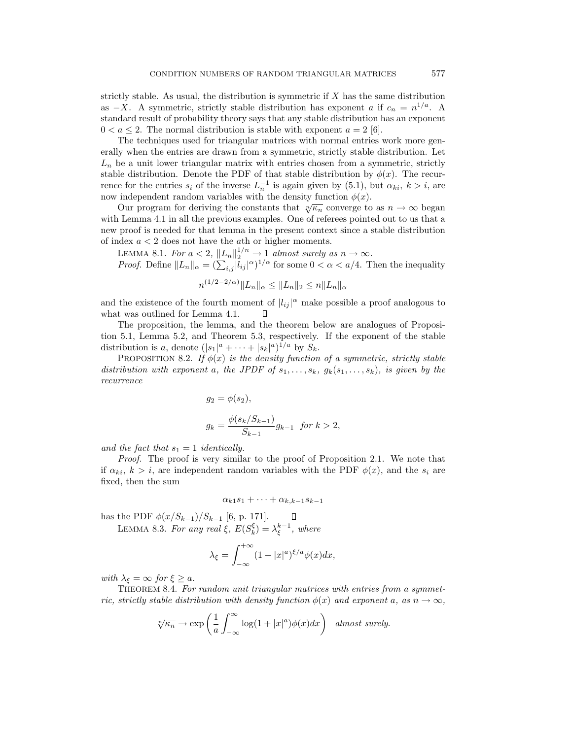strictly stable. As usual, the distribution is symmetric if  $X$  has the same distribution as  $-X$ . A symmetric, strictly stable distribution has exponent a if  $c_n = n^{1/a}$ . A standard result of probability theory says that any stable distribution has an exponent  $0 < a \leq 2$ . The normal distribution is stable with exponent  $a = 2 \vert 6 \vert$ .

The techniques used for triangular matrices with normal entries work more generally when the entries are drawn from a symmetric, strictly stable distribution. Let  $L_n$  be a unit lower triangular matrix with entries chosen from a symmetric, strictly stable distribution. Denote the PDF of that stable distribution by  $\phi(x)$ . The recurrence for the entries  $s_i$  of the inverse  $L_n^{-1}$  is again given by (5.1), but  $\alpha_{ki}$ ,  $k > i$ , are now independent random variables with the density function  $\phi(x)$ .

Our program for deriving the constants that  $\sqrt[n]{\kappa_n}$  converge to as  $n \to \infty$  began with Lemma 4.1 in all the previous examples. One of referees pointed out to us that a new proof is needed for that lemma in the present context since a stable distribution of index  $a < 2$  does not have the *ath* or higher moments.

LEMMA 8.1. For  $a < 2$ ,  $||L_n||_2^{1/n} \rightarrow 1$  almost surely as  $n \rightarrow \infty$ .

*Proof.* Define  $||L_n||_{\alpha} = (\sum_{i,j} |l_{ij}|^{\alpha})^{1/\alpha}$  for some  $0 < \alpha < a/4$ . Then the inequality  $(1/2-\Omega)^{2}$ 

$$
n^{(1/2-2/\alpha)}\|L_n\|_{\alpha} \le \|L_n\|_2 \le n\|L_n\|_{\alpha}
$$

and the existence of the fourth moment of  $|l_{ij}|^{\alpha}$  make possible a proof analogous to what was outlined for Lemma 4.1. П

The proposition, the lemma, and the theorem below are analogues of Proposition 5.1, Lemma 5.2, and Theorem 5.3, respectively. If the exponent of the stable distribution is a, denote  $(|s_1|^a + \cdots + |s_k|^a)^{1/a}$  by  $S_k$ .

PROPOSITION 8.2. If  $\phi(x)$  is the density function of a symmetric, strictly stable distribution with exponent a, the JPDF of  $s_1, \ldots, s_k$ ,  $g_k(s_1, \ldots, s_k)$ , is given by the recurrence

$$
g_2 = \phi(s_2),
$$
  
\n $g_k = \frac{\phi(s_k/S_{k-1})}{S_{k-1}} g_{k-1}$  for  $k > 2$ ,

and the fact that  $s_1 = 1$  identically.

Proof. The proof is very similar to the proof of Proposition 2.1. We note that if  $\alpha_{ki}, k > i$ , are independent random variables with the PDF  $\phi(x)$ , and the  $s_i$  are fixed, then the sum

$$
\alpha_{k1}s_1 + \cdots + \alpha_{k,k-1}s_{k-1}
$$

has the PDF  $\phi(x/S_{k-1})/S_{k-1}$  [6, p. 171]. LEMMA 8.3. For any real  $\xi$ ,  $E(S_k^{\xi}) = \lambda_{\xi}^{k-1}$ , where

$$
\lambda_{\xi} = \int_{-\infty}^{+\infty} (1+|x|^a)^{\xi/a} \phi(x) dx,
$$

with  $\lambda_{\xi} = \infty$  for  $\xi \geq a$ .

THEOREM 8.4. For random unit triangular matrices with entries from a symmetric, strictly stable distribution with density function  $\phi(x)$  and exponent a, as  $n \to \infty$ ,

$$
\sqrt[n]{\kappa_n} \to \exp\left(\frac{1}{a} \int_{-\infty}^{\infty} \log(1+|x|^a) \phi(x) dx\right) \quad \text{almost surely.}
$$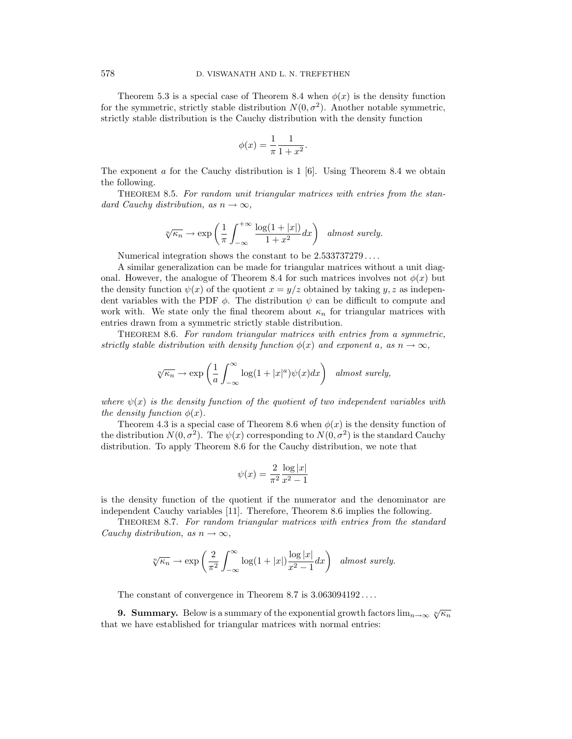Theorem 5.3 is a special case of Theorem 8.4 when  $\phi(x)$  is the density function for the symmetric, strictly stable distribution  $N(0, \sigma^2)$ . Another notable symmetric, strictly stable distribution is the Cauchy distribution with the density function

$$
\phi(x) = \frac{1}{\pi} \frac{1}{1 + x^2}.
$$

The exponent a for the Cauchy distribution is  $1 \vert 6$ . Using Theorem 8.4 we obtain the following.

THEOREM 8.5. For random unit triangular matrices with entries from the standard Cauchy distribution, as  $n \to \infty$ ,

$$
\sqrt[n]{\kappa_n} \to \exp\left(\frac{1}{\pi} \int_{-\infty}^{+\infty} \frac{\log(1+|x|)}{1+x^2} dx\right) \quad almost \ surely.
$$

Numerical integration shows the constant to be 2.533737279 ... .

A similar generalization can be made for triangular matrices without a unit diagonal. However, the analogue of Theorem 8.4 for such matrices involves not  $\phi(x)$  but the density function  $\psi(x)$  of the quotient  $x = y/z$  obtained by taking y, z as independent variables with the PDF  $\phi$ . The distribution  $\psi$  can be difficult to compute and work with. We state only the final theorem about  $\kappa_n$  for triangular matrices with entries drawn from a symmetric strictly stable distribution.

THEOREM 8.6. For random triangular matrices with entries from a symmetric, strictly stable distribution with density function  $\phi(x)$  and exponent a, as  $n \to \infty$ ,

$$
\sqrt[n]{\kappa_n} \to \exp\left(\frac{1}{a} \int_{-\infty}^{\infty} \log(1+|x|^a) \psi(x) dx\right) \quad \text{almost surely,}
$$

where  $\psi(x)$  is the density function of the quotient of two independent variables with the density function  $\phi(x)$ .

Theorem 4.3 is a special case of Theorem 8.6 when  $\phi(x)$  is the density function of the distribution  $N(0, \sigma^2)$ . The  $\psi(x)$  corresponding to  $N(0, \sigma^2)$  is the standard Cauchy distribution. To apply Theorem 8.6 for the Cauchy distribution, we note that

$$
\psi(x) = \frac{2}{\pi^2} \frac{\log|x|}{x^2 - 1}
$$

is the density function of the quotient if the numerator and the denominator are independent Cauchy variables [11]. Therefore, Theorem 8.6 implies the following.

THEOREM 8.7. For random triangular matrices with entries from the standard Cauchy distribution, as  $n \to \infty$ ,

$$
\sqrt[n]{\kappa_n} \to \exp\left(\frac{2}{\pi^2} \int_{-\infty}^{\infty} \log(1+|x|) \frac{\log |x|}{x^2-1} dx\right) \quad almost \ surely.
$$

The constant of convergence in Theorem 8.7 is  $3.063094192...$ 

**9. Summary.** Below is a summary of the exponential growth factors  $\lim_{n\to\infty} \sqrt[n]{\kappa_n}$ that we have established for triangular matrices with normal entries: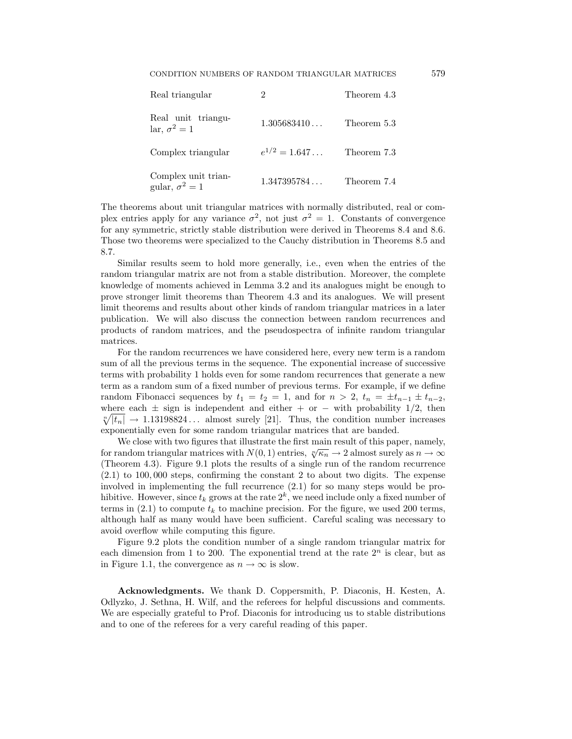| Real triangular                              |                   | Theorem 4.3 |
|----------------------------------------------|-------------------|-------------|
| Real unit triangu-<br>lar, $\sigma^2 = 1$    | 1.305683410       | Theorem 5.3 |
| Complex triangular                           | $e^{1/2} = 1.647$ | Theorem 7.3 |
| Complex unit trian-<br>gular, $\sigma^2 = 1$ | 1.347395784       | Theorem 7.4 |

The theorems about unit triangular matrices with normally distributed, real or complex entries apply for any variance  $\sigma^2$ , not just  $\sigma^2 = 1$ . Constants of convergence for any symmetric, strictly stable distribution were derived in Theorems 8.4 and 8.6. Those two theorems were specialized to the Cauchy distribution in Theorems 8.5 and 8.7.

Similar results seem to hold more generally, i.e., even when the entries of the random triangular matrix are not from a stable distribution. Moreover, the complete knowledge of moments achieved in Lemma 3.2 and its analogues might be enough to prove stronger limit theorems than Theorem 4.3 and its analogues. We will present limit theorems and results about other kinds of random triangular matrices in a later publication. We will also discuss the connection between random recurrences and products of random matrices, and the pseudospectra of infinite random triangular matrices.

For the random recurrences we have considered here, every new term is a random sum of all the previous terms in the sequence. The exponential increase of successive terms with probability 1 holds even for some random recurrences that generate a new term as a random sum of a fixed number of previous terms. For example, if we define random Fibonacci sequences by  $t_1 = t_2 = 1$ , and for  $n > 2$ ,  $t_n = \pm t_{n-1} \pm t_{n-2}$ , where each  $\pm$  sign is independent and either + or – with probability 1/2, then  $\sqrt[n]{|t_n|} \rightarrow 1.13198824...$  almost surely [21]. Thus, the condition number increases exponentially even for some random triangular matrices that are banded.

We close with two figures that illustrate the first main result of this paper, namely, for random triangular matrices with  $N(0, 1)$  entries,  $\sqrt[n]{\kappa_n} \rightarrow 2$  almost surely as  $n \rightarrow \infty$ (Theorem 4.3). Figure 9.1 plots the results of a single run of the random recurrence (2.1) to 100, 000 steps, confirming the constant 2 to about two digits. The expense involved in implementing the full recurrence (2.1) for so many steps would be prohibitive. However, since  $t_k$  grows at the rate  $2^k$ , we need include only a fixed number of terms in  $(2.1)$  to compute  $t_k$  to machine precision. For the figure, we used 200 terms, although half as many would have been sufficient. Careful scaling was necessary to avoid overflow while computing this figure.

Figure 9.2 plots the condition number of a single random triangular matrix for each dimension from 1 to 200. The exponential trend at the rate  $2<sup>n</sup>$  is clear, but as in Figure 1.1, the convergence as  $n \to \infty$  is slow.

**Acknowledgments.** We thank D. Coppersmith, P. Diaconis, H. Kesten, A. Odlyzko, J. Sethna, H. Wilf, and the referees for helpful discussions and comments. We are especially grateful to Prof. Diaconis for introducing us to stable distributions and to one of the referees for a very careful reading of this paper.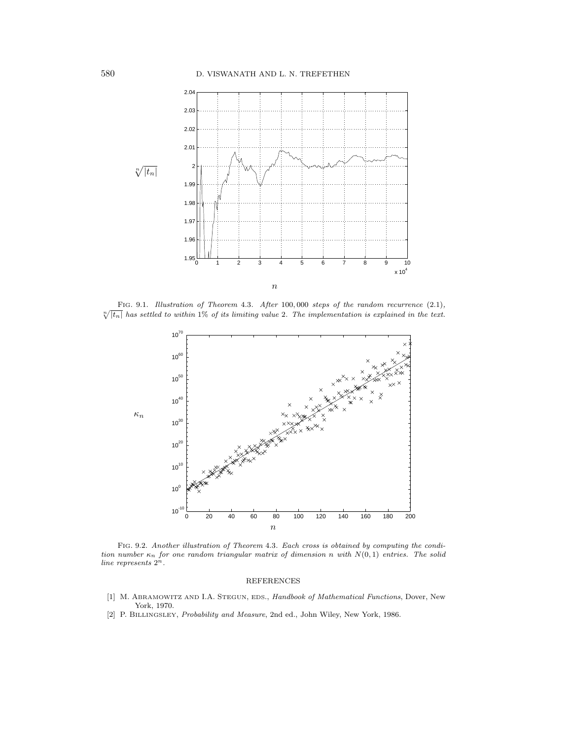

FIG. 9.1. Illustration of Theorem 4.3. After 100,000 steps of the random recurrence (2.1),  $\sqrt[n]{|t_n|}$  has settled to within 1% of its limiting value 2. The implementation is explained in the text.



FIG. 9.2. Another illustration of Theorem 4.3. Each cross is obtained by computing the condition number  $\kappa_n$  for one random triangular matrix of dimension n with  $N(0, 1)$  entries. The solid line represents  $2^n$ .

## REFERENCES

- [1] M. ABRAMOWITZ AND I.A. STEGUN, EDS., Handbook of Mathematical Functions, Dover, New York, 1970.
- [2] P. BILLINGSLEY, Probability and Measure, 2nd ed., John Wiley, New York, 1986.